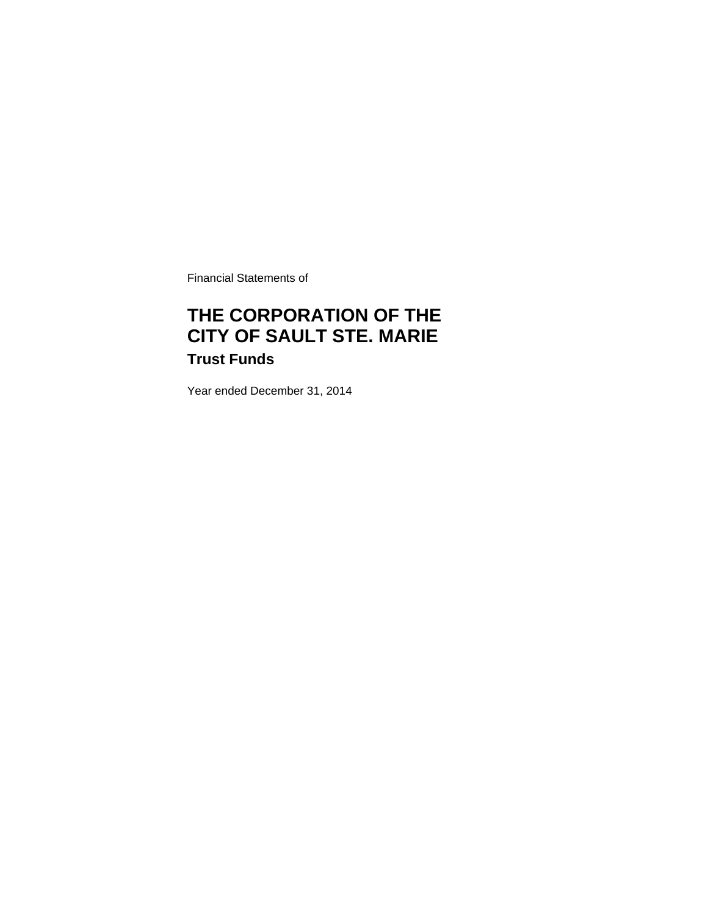Financial Statements of

# **THE CORPORATION OF THE CITY OF SAULT STE. MARIE Trust Funds**

Year ended December 31, 2014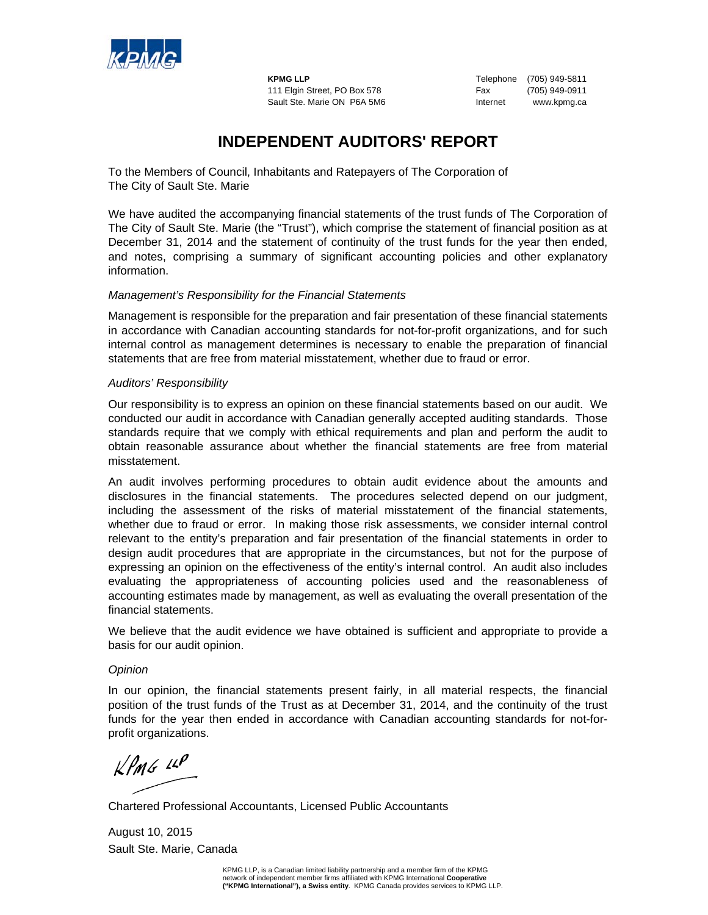

**KPMG LLP** Telephone (705) 949-5811 111 Elgin Street, PO Box 578 Fax (705) 949-0911 Sault Ste. Marie ON P6A 5M6 **Internet** www.kpmg.ca

### **INDEPENDENT AUDITORS' REPORT**

To the Members of Council, Inhabitants and Ratepayers of The Corporation of The City of Sault Ste. Marie

We have audited the accompanying financial statements of the trust funds of The Corporation of The City of Sault Ste. Marie (the "Trust"), which comprise the statement of financial position as at December 31, 2014 and the statement of continuity of the trust funds for the year then ended, and notes, comprising a summary of significant accounting policies and other explanatory information.

### *Management's Responsibility for the Financial Statements*

Management is responsible for the preparation and fair presentation of these financial statements in accordance with Canadian accounting standards for not-for-profit organizations, and for such internal control as management determines is necessary to enable the preparation of financial statements that are free from material misstatement, whether due to fraud or error.

### *Auditors' Responsibility*

Our responsibility is to express an opinion on these financial statements based on our audit. We conducted our audit in accordance with Canadian generally accepted auditing standards. Those standards require that we comply with ethical requirements and plan and perform the audit to obtain reasonable assurance about whether the financial statements are free from material misstatement.

An audit involves performing procedures to obtain audit evidence about the amounts and disclosures in the financial statements. The procedures selected depend on our judgment, including the assessment of the risks of material misstatement of the financial statements, whether due to fraud or error. In making those risk assessments, we consider internal control relevant to the entity's preparation and fair presentation of the financial statements in order to design audit procedures that are appropriate in the circumstances, but not for the purpose of expressing an opinion on the effectiveness of the entity's internal control.An audit also includes evaluating the appropriateness of accounting policies used and the reasonableness of accounting estimates made by management, as well as evaluating the overall presentation of the financial statements.

We believe that the audit evidence we have obtained is sufficient and appropriate to provide a basis for our audit opinion.

### *Opinion*

In our opinion, the financial statements present fairly, in all material respects, the financial position of the trust funds of the Trust as at December 31, 2014, and the continuity of the trust funds for the year then ended in accordance with Canadian accounting standards for not-forprofit organizations.

 $KPMG$  14P

Chartered Professional Accountants, Licensed Public Accountants

August 10, 2015 Sault Ste. Marie, Canada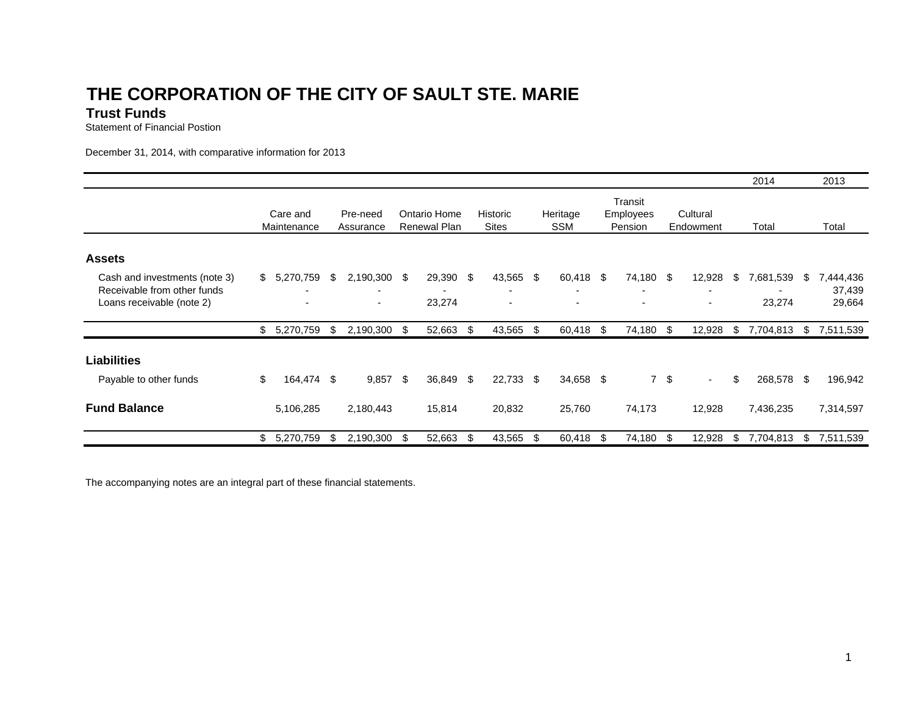# **THE CORPORATION OF THE CITY OF SAULT STE. MARI E**

### **Trust Funds**

Statement of Financial Postion

December 31, 2014, with comparative information for 2013

|                                                                                           |                         |            |     |                                                                      |     |                              |    |                                                                |      |                        |      |                                        |           |                                    |    | 2014                |     | 2013                          |  |
|-------------------------------------------------------------------------------------------|-------------------------|------------|-----|----------------------------------------------------------------------|-----|------------------------------|----|----------------------------------------------------------------|------|------------------------|------|----------------------------------------|-----------|------------------------------------|----|---------------------|-----|-------------------------------|--|
|                                                                                           | Care and<br>Maintenance |            |     | Pre-need<br>Assurance                                                |     | Ontario Home<br>Renewal Plan |    | <b>Historic</b><br><b>Sites</b>                                |      | Heritage<br><b>SSM</b> |      | Transit<br><b>Employees</b><br>Pension |           | Cultural<br>Endowment              |    | Total               |     | Total                         |  |
| <b>Assets</b>                                                                             |                         |            |     |                                                                      |     |                              |    |                                                                |      |                        |      |                                        |           |                                    |    |                     |     |                               |  |
| Cash and investments (note 3)<br>Receivable from other funds<br>Loans receivable (note 2) | \$                      | 5,270,759  | \$  | 2,190,300 \$<br>$\overline{\phantom{0}}$<br>$\overline{\phantom{a}}$ |     | 29,390 \$<br>23,274          |    | 43,565<br>$\overline{\phantom{a}}$<br>$\overline{\phantom{a}}$ | -\$  | 60,418                 | - \$ | 74,180 \$                              |           | 12,928<br>$\overline{\phantom{a}}$ | \$ | 7,681,539<br>23,274 | \$  | 7,444,436<br>37,439<br>29,664 |  |
|                                                                                           | \$                      | 5,270,759  | -\$ | 2,190,300 \$                                                         |     | 52,663 \$                    |    | 43,565                                                         | - \$ | 60,418 \$              |      | 74,180 \$                              |           | 12,928                             | S. | 7,704,813           | - S | 7,511,539                     |  |
| <b>Liabilities</b><br>Payable to other funds                                              | \$                      | 164,474 \$ |     | 9,857                                                                | -\$ | 36,849 \$                    |    | 22,733                                                         | \$   | 34,658 \$              |      |                                        | $7 \quad$ | $\sim$                             | \$ | 268,578 \$          |     | 196,942                       |  |
|                                                                                           |                         |            |     |                                                                      |     |                              |    |                                                                |      |                        |      |                                        |           |                                    |    |                     |     |                               |  |
| <b>Fund Balance</b>                                                                       |                         | 5,106,285  |     | 2,180,443                                                            |     | 15,814                       |    | 20,832                                                         |      | 25,760                 |      | 74,173                                 |           | 12,928                             |    | 7,436,235           |     | 7,314,597                     |  |
|                                                                                           | \$                      | 5,270,759  | \$  | 2,190,300                                                            | -S  | 52,663                       | \$ | 43,565                                                         | \$   | 60,418                 | \$   | 74,180 \$                              |           | 12,928                             | \$ | 7,704,813           | \$  | 7,511,539                     |  |

The accompanying notes are an integral part of these financial statements.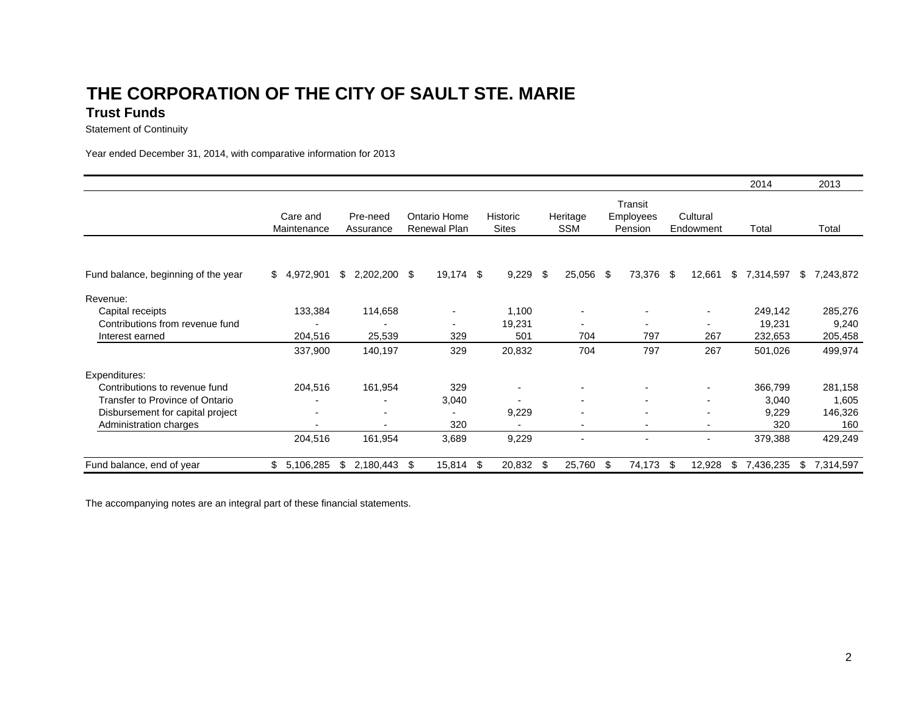### **THE CORPORATION OF THE CITY OF SAULT STE. MARI ETrust Funds**

Statement of Continuity

Year ended December 31, 2014, with comparative information for 2013

|                                     |                          |                       |                              |                                 |                          |                                        |                          | 2014            | 2013            |  |
|-------------------------------------|--------------------------|-----------------------|------------------------------|---------------------------------|--------------------------|----------------------------------------|--------------------------|-----------------|-----------------|--|
|                                     | Care and<br>Maintenance  | Pre-need<br>Assurance | Ontario Home<br>Renewal Plan | <b>Historic</b><br><b>Sites</b> | Heritage<br><b>SSM</b>   | Transit<br><b>Employees</b><br>Pension | Cultural<br>Endowment    | Total           | Total           |  |
| Fund balance, beginning of the year | 4,972,901<br>\$          | \$<br>2,202,200       | \$<br>19,174 \$              | 9,229                           | -\$<br>25,056            | 73,376<br>- \$                         | \$<br>12,661             | \$<br>7,314,597 | \$<br>7,243,872 |  |
|                                     |                          |                       |                              |                                 |                          |                                        |                          |                 |                 |  |
| Revenue:                            |                          |                       |                              |                                 |                          |                                        |                          |                 |                 |  |
| Capital receipts                    | 133,384                  | 114,658               | $\blacksquare$               | 1,100                           |                          |                                        |                          | 249,142         | 285,276         |  |
| Contributions from revenue fund     |                          |                       | $\overline{\phantom{a}}$     | 19,231                          | $\blacksquare$           |                                        |                          | 19,231          | 9,240           |  |
| Interest earned                     | 204,516                  | 25,539                | 329                          | 501                             | 704                      | 797                                    | 267                      | 232,653         | 205,458         |  |
|                                     | 337,900                  | 140,197               | 329                          | 20,832                          | 704                      | 797                                    | 267                      | 501,026         | 499,974         |  |
| Expenditures:                       |                          |                       |                              |                                 |                          |                                        |                          |                 |                 |  |
| Contributions to revenue fund       | 204,516                  | 161,954               | 329                          |                                 |                          |                                        |                          | 366,799         | 281,158         |  |
| Transfer to Province of Ontario     | $\overline{\phantom{0}}$ |                       | 3,040                        |                                 | $\overline{\phantom{a}}$ | $\blacksquare$                         | $\overline{\phantom{a}}$ | 3,040           | 1,605           |  |
| Disbursement for capital project    | $\overline{\phantom{a}}$ | $\blacksquare$        | ۰                            | 9,229                           | $\blacksquare$           |                                        |                          | 9,229           | 146,326         |  |
| Administration charges              |                          |                       | 320                          |                                 | $\blacksquare$           |                                        |                          | 320             | 160             |  |
|                                     | 204,516                  | 161,954               | 3,689                        | 9,229                           |                          |                                        |                          | 379,388         | 429,249         |  |
| Fund balance, end of year           | 5,106,285<br>\$          | \$<br>2,180,443       | \$<br>15,814 \$              | 20,832                          | 25,760                   | 74,173<br>£.                           | \$<br>12,928             | \$<br>7,436,235 | \$<br>7,314,597 |  |

The accompanying notes are an integral part of these financial statements.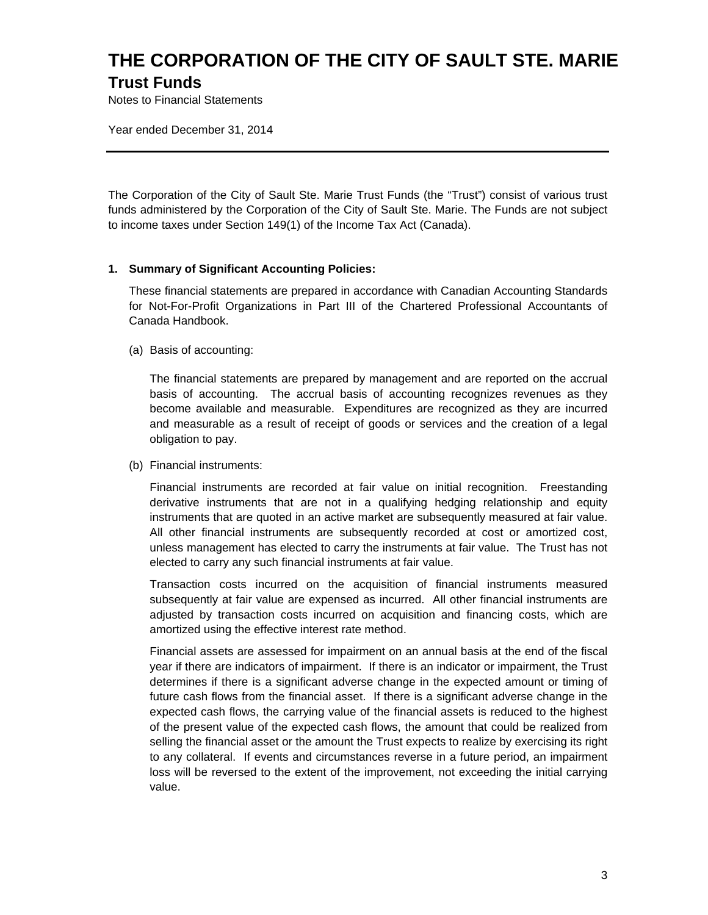# **THE CORPORATION OF THE CITY OF SAULT STE. MARIE Trust Funds**

Notes to Financial Statements

Year ended December 31, 2014

The Corporation of the City of Sault Ste. Marie Trust Funds (the "Trust") consist of various trust funds administered by the Corporation of the City of Sault Ste. Marie. The Funds are not subject to income taxes under Section 149(1) of the Income Tax Act (Canada).

### **1. Summary of Significant Accounting Policies:**

These financial statements are prepared in accordance with Canadian Accounting Standards for Not-For-Profit Organizations in Part III of the Chartered Professional Accountants of Canada Handbook.

(a) Basis of accounting:

The financial statements are prepared by management and are reported on the accrual basis of accounting. The accrual basis of accounting recognizes revenues as they become available and measurable. Expenditures are recognized as they are incurred and measurable as a result of receipt of goods or services and the creation of a legal obligation to pay.

(b) Financial instruments:

Financial instruments are recorded at fair value on initial recognition. Freestanding derivative instruments that are not in a qualifying hedging relationship and equity instruments that are quoted in an active market are subsequently measured at fair value. All other financial instruments are subsequently recorded at cost or amortized cost, unless management has elected to carry the instruments at fair value. The Trust has not elected to carry any such financial instruments at fair value.

Transaction costs incurred on the acquisition of financial instruments measured subsequently at fair value are expensed as incurred. All other financial instruments are adjusted by transaction costs incurred on acquisition and financing costs, which are amortized using the effective interest rate method.

Financial assets are assessed for impairment on an annual basis at the end of the fiscal year if there are indicators of impairment. If there is an indicator or impairment, the Trust determines if there is a significant adverse change in the expected amount or timing of future cash flows from the financial asset. If there is a significant adverse change in the expected cash flows, the carrying value of the financial assets is reduced to the highest of the present value of the expected cash flows, the amount that could be realized from selling the financial asset or the amount the Trust expects to realize by exercising its right to any collateral. If events and circumstances reverse in a future period, an impairment loss will be reversed to the extent of the improvement, not exceeding the initial carrying value.